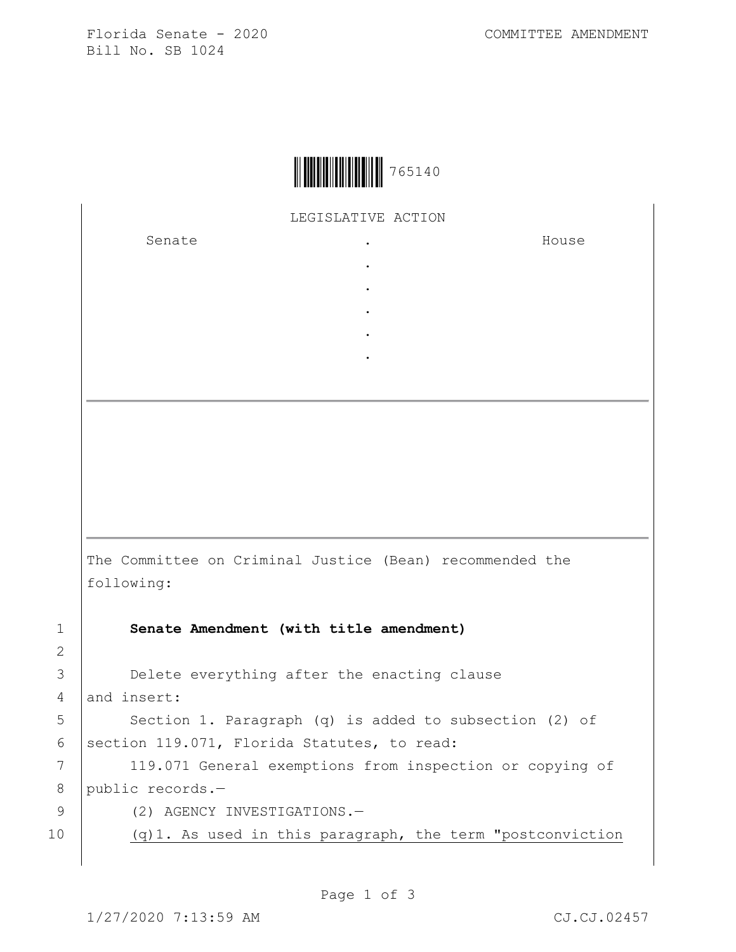Florida Senate - 2020 COMMITTEE AMENDMENT Bill No. SB 1024



LEGISLATIVE ACTION

. . . . .

Senate .

House

The Committee on Criminal Justice (Bean) recommended the following: 1 **Senate Amendment (with title amendment)**

3 Delete everything after the enacting clause

4 and insert:

2

5 | Section 1. Paragraph (q) is added to subsection (2) of 6 | section 119.071, Florida Statutes, to read:

7 | 119.071 General exemptions from inspection or copying of 8 public records.-

9 (2) AGENCY INVESTIGATIONS.-

10 (q)1. As used in this paragraph, the term "postconviction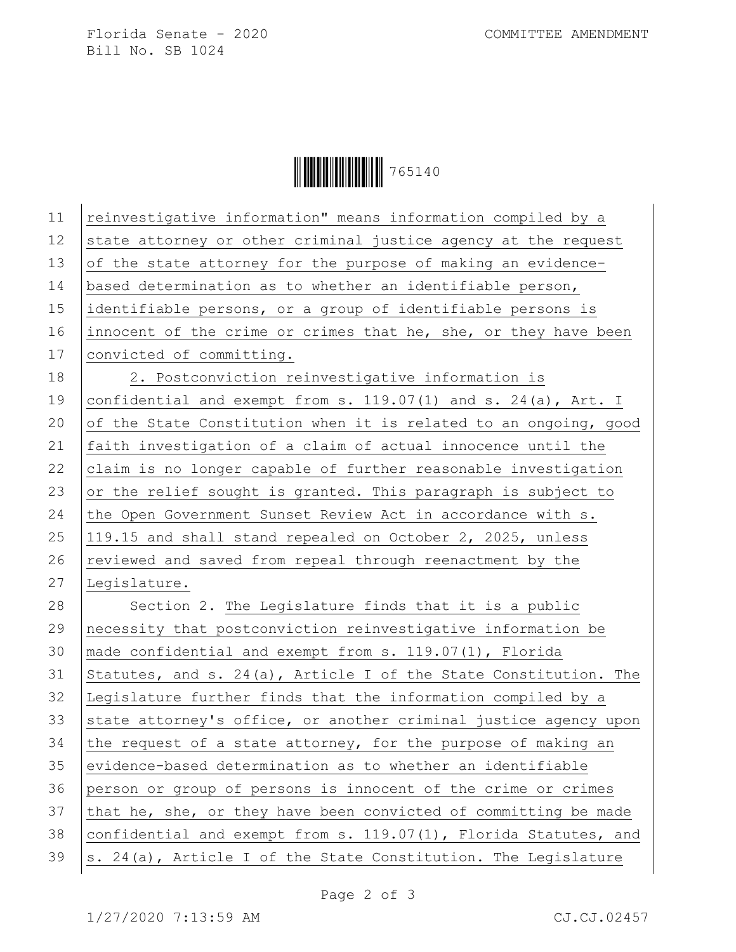Florida Senate - 2020 COMMITTEE AMENDMENT Bill No. SB 1024

Ì765140vÎ765140

| 11 | reinvestigative information" means information compiled by a        |
|----|---------------------------------------------------------------------|
| 12 | state attorney or other criminal justice agency at the request      |
| 13 | of the state attorney for the purpose of making an evidence-        |
| 14 | based determination as to whether an identifiable person,           |
| 15 | identifiable persons, or a group of identifiable persons is         |
| 16 | innocent of the crime or crimes that he, she, or they have been     |
| 17 | convicted of committing.                                            |
| 18 | 2. Postconviction reinvestigative information is                    |
| 19 | confidential and exempt from s. 119.07(1) and s. 24(a), Art. I      |
| 20 | of the State Constitution when it is related to an ongoing, good    |
| 21 | faith investigation of a claim of actual innocence until the        |
| 22 | claim is no longer capable of further reasonable investigation      |
| 23 | or the relief sought is granted. This paragraph is subject to       |
| 24 | the Open Government Sunset Review Act in accordance with s.         |
| 25 | 119.15 and shall stand repealed on October 2, 2025, unless          |
| 26 | reviewed and saved from repeal through reenactment by the           |
| 27 | Legislature.                                                        |
| 28 | Section 2. The Legislature finds that it is a public                |
| 29 | necessity that postconviction reinvestigative information be        |
| 30 | made confidential and exempt from s. 119.07(1), Florida             |
| 31 | Statutes, and s. $24(a)$ , Article I of the State Constitution. The |
| 32 | Legislature further finds that the information compiled by a        |
| 33 | state attorney's office, or another criminal justice agency upon    |
| 34 | the request of a state attorney, for the purpose of making an       |
| 35 | evidence-based determination as to whether an identifiable          |
| 36 | person or group of persons is innocent of the crime or crimes       |
| 37 | that he, she, or they have been convicted of committing be made     |
| 38 | confidential and exempt from s. 119.07(1), Florida Statutes, and    |
| 39 | s. 24(a), Article I of the State Constitution. The Legislature      |